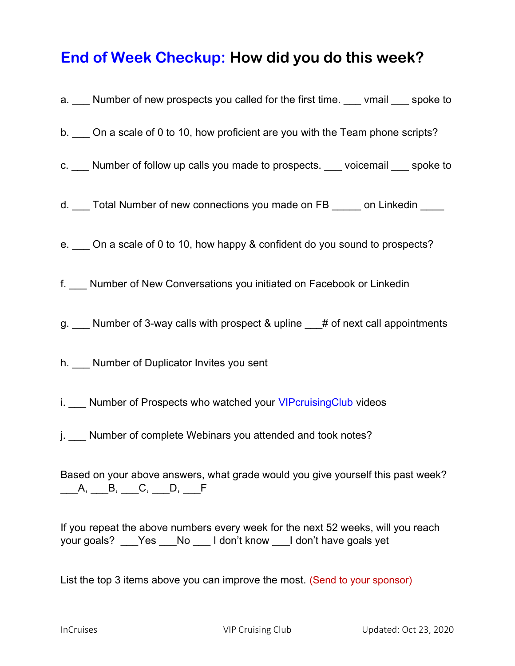## End of Week Checkup: How did you do this week?

| a. ___ Number of new prospects you called for the first time. ___ vmail ___ spoke to                                                                    |
|---------------------------------------------------------------------------------------------------------------------------------------------------------|
| b. ____ On a scale of 0 to 10, how proficient are you with the Team phone scripts?                                                                      |
| c. ___ Number of follow up calls you made to prospects. ___ voicemail ___ spoke to                                                                      |
| d. ___ Total Number of new connections you made on FB _____ on Linkedin ____                                                                            |
| e. ___ On a scale of 0 to 10, how happy & confident do you sound to prospects?                                                                          |
| f. __ Number of New Conversations you initiated on Facebook or Linkedin                                                                                 |
| g. ___ Number of 3-way calls with prospect & upline ___# of next call appointments                                                                      |
| h. ___ Number of Duplicator Invites you sent                                                                                                            |
| i. __ Number of Prospects who watched your VIPcruisingClub videos                                                                                       |
| j. __ Number of complete Webinars you attended and took notes?                                                                                          |
| Based on your above answers, what grade would you give yourself this past week?<br>_____A, _____B, ____C, ____D, ____F                                  |
| If you repeat the above numbers every week for the next 52 weeks, will you reach<br>your goals? ___Yes ___No ___ I don't know ___I don't have goals yet |

List the top 3 items above you can improve the most. (Send to your sponsor)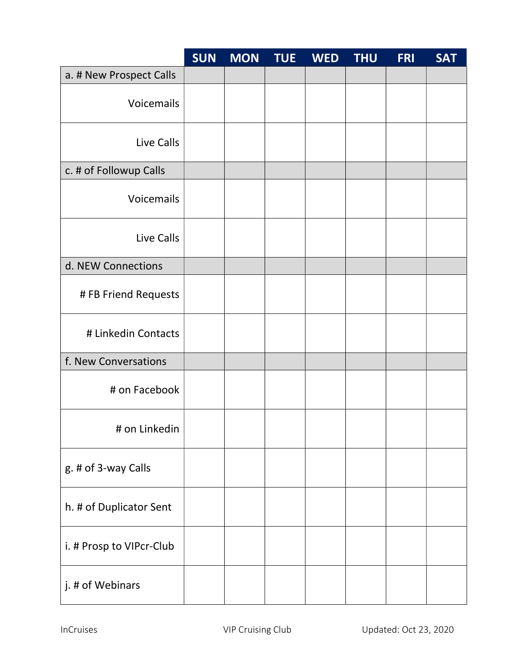|                          | <b>SUN</b> | <b>MON</b> | <b>TUE</b> | <b>WED</b> | <b>THU</b> | <b>FRI</b> | <b>SAT</b> |
|--------------------------|------------|------------|------------|------------|------------|------------|------------|
| a. # New Prospect Calls  |            |            |            |            |            |            |            |
| Voicemails               |            |            |            |            |            |            |            |
| Live Calls               |            |            |            |            |            |            |            |
| c. # of Followup Calls   |            |            |            |            |            |            |            |
| Voicemails               |            |            |            |            |            |            |            |
| Live Calls               |            |            |            |            |            |            |            |
| d. NEW Connections       |            |            |            |            |            |            |            |
| # FB Friend Requests     |            |            |            |            |            |            |            |
| # Linkedin Contacts      |            |            |            |            |            |            |            |
| f. New Conversations     |            |            |            |            |            |            |            |
| # on Facebook            |            |            |            |            |            |            |            |
| # on Linkedin            |            |            |            |            |            |            |            |
| g. # of 3-way Calls      |            |            |            |            |            |            |            |
| h. # of Duplicator Sent  |            |            |            |            |            |            |            |
| i. # Prosp to VIPcr-Club |            |            |            |            |            |            |            |
| j. # of Webinars         |            |            |            |            |            |            |            |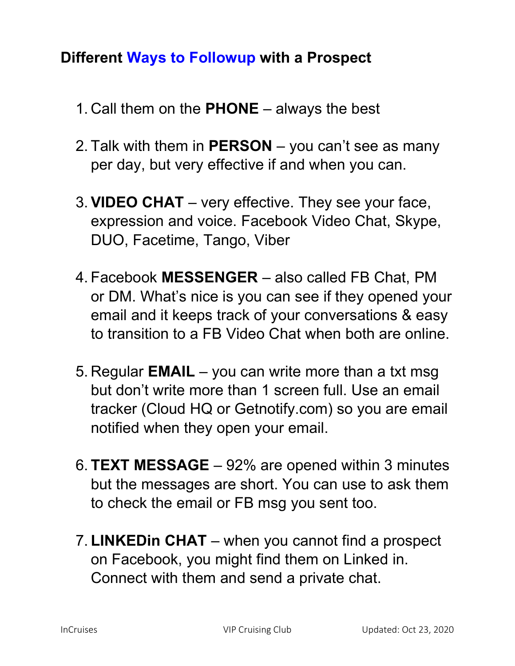## Different Ways to Followup with a Prospect

- 1. Call them on the  $PHONE -$  always the best
- 2. Talk with them in  $PERSON you can't see as many$ per day, but very effective if and when you can.
- 3. VIDEO CHAT very effective. They see your face, expression and voice. Facebook Video Chat, Skype, DUO, Facetime, Tango, Viber
- 4. Facebook MESSENGER also called FB Chat, PM or DM. What's nice is you can see if they opened your email and it keeps track of your conversations & easy to transition to a FB Video Chat when both are online.
- 5. Regular **EMAIL** you can write more than a txt msg but don't write more than 1 screen full. Use an email tracker (Cloud HQ or Getnotify.com) so you are email notified when they open your email.
- 6. TEXT MESSAGE 92% are opened within 3 minutes but the messages are short. You can use to ask them to check the email or FB msg you sent too.
- 7. LINKEDin CHAT when you cannot find a prospect on Facebook, you might find them on Linked in. Connect with them and send a private chat.